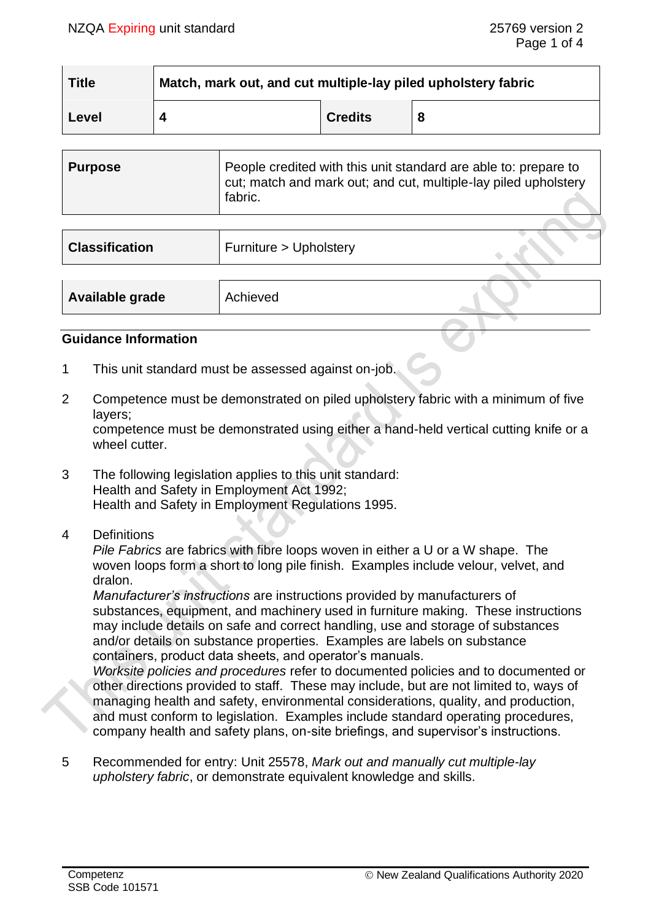| <b>Title</b> | Match, mark out, and cut multiple-lay piled upholstery fabric |                |  |
|--------------|---------------------------------------------------------------|----------------|--|
| Level        |                                                               | <b>Credits</b> |  |

| Purpose | People credited with this unit standard are able to: prepare to<br>cut; match and mark out; and cut, multiple-lay piled upholstery |
|---------|------------------------------------------------------------------------------------------------------------------------------------|
|         | fabric.                                                                                                                            |

| <b>Classification</b> | Furniture > Upholstery |  |
|-----------------------|------------------------|--|
|                       |                        |  |
| Available grade       | Achieved               |  |

#### **Guidance Information**

- 1 This unit standard must be assessed against on-job.
- 2 Competence must be demonstrated on piled upholstery fabric with a minimum of five layers;

competence must be demonstrated using either a hand-held vertical cutting knife or a wheel cutter.

- 3 The following legislation applies to this unit standard: Health and Safety in Employment Act 1992; Health and Safety in Employment Regulations 1995.
- 4 Definitions

*Pile Fabrics* are fabrics with fibre loops woven in either a U or a W shape. The woven loops form a short to long pile finish. Examples include velour, velvet, and dralon.

*Manufacturer's instructions* are instructions provided by manufacturers of substances, equipment, and machinery used in furniture making. These instructions may include details on safe and correct handling, use and storage of substances and/or details on substance properties. Examples are labels on substance containers, product data sheets, and operator's manuals.

*Worksite policies and procedures* refer to documented policies and to documented or other directions provided to staff. These may include, but are not limited to, ways of managing health and safety, environmental considerations, quality, and production, and must conform to legislation. Examples include standard operating procedures, company health and safety plans, on-site briefings, and supervisor's instructions.

5 Recommended for entry: Unit 25578, *Mark out and manually cut multiple-lay upholstery fabric*, or demonstrate equivalent knowledge and skills.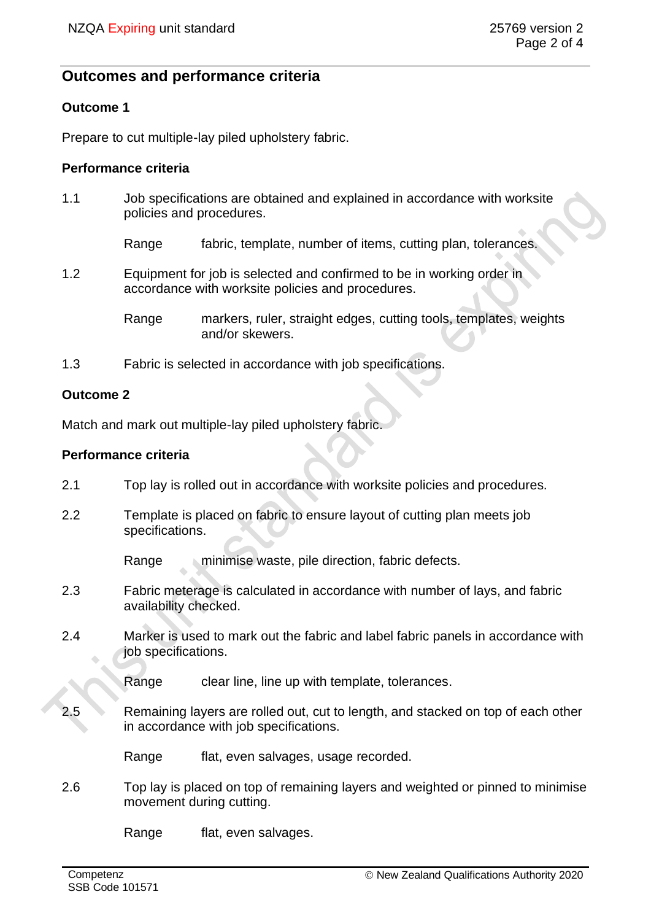# **Outcomes and performance criteria**

## **Outcome 1**

Prepare to cut multiple-lay piled upholstery fabric.

## **Performance criteria**

1.1 Job specifications are obtained and explained in accordance with worksite policies and procedures.

Range fabric, template, number of items, cutting plan, tolerances.

1.2 Equipment for job is selected and confirmed to be in working order in accordance with worksite policies and procedures.

> Range markers, ruler, straight edges, cutting tools, templates, weights and/or skewers.

1.3 Fabric is selected in accordance with job specifications.

## **Outcome 2**

Match and mark out multiple-lay piled upholstery fabric.

#### **Performance criteria**

- 2.1 Top lay is rolled out in accordance with worksite policies and procedures.
- 2.2 Template is placed on fabric to ensure layout of cutting plan meets job specifications.

Range minimise waste, pile direction, fabric defects.

- 2.3 Fabric meterage is calculated in accordance with number of lays, and fabric availability checked.
- 2.4 Marker is used to mark out the fabric and label fabric panels in accordance with job specifications.

Range clear line, line up with template, tolerances.

2.5 Remaining layers are rolled out, cut to length, and stacked on top of each other in accordance with job specifications.

Range flat, even salvages, usage recorded.

2.6 Top lay is placed on top of remaining layers and weighted or pinned to minimise movement during cutting.

Range flat, even salvages.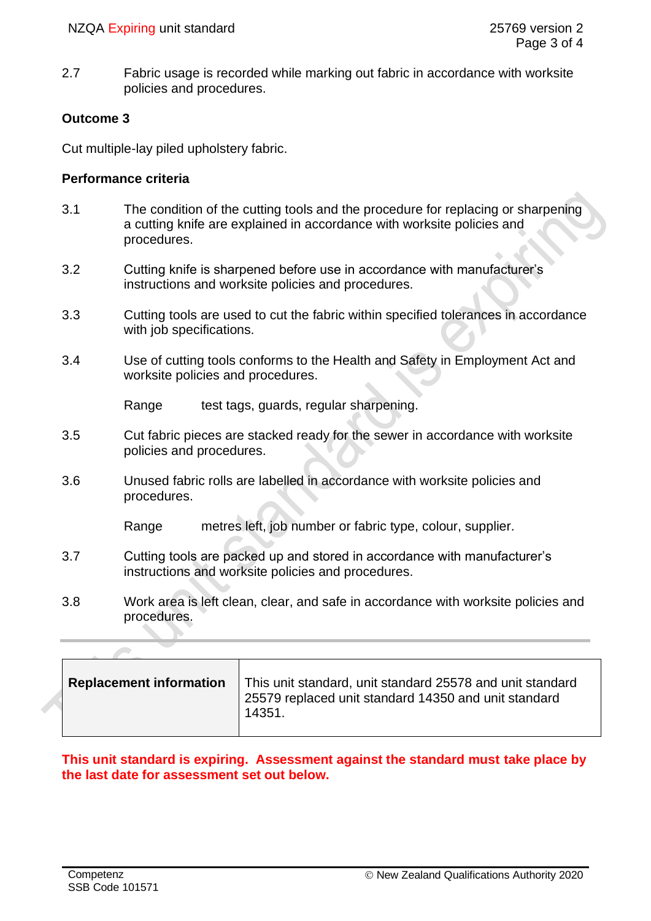2.7 Fabric usage is recorded while marking out fabric in accordance with worksite policies and procedures.

## **Outcome 3**

Cut multiple-lay piled upholstery fabric.

#### **Performance criteria**

- 3.1 The condition of the cutting tools and the procedure for replacing or sharpening a cutting knife are explained in accordance with worksite policies and procedures.
- 3.2 Cutting knife is sharpened before use in accordance with manufacturer's instructions and worksite policies and procedures.
- 3.3 Cutting tools are used to cut the fabric within specified tolerances in accordance with job specifications.
- 3.4 Use of cutting tools conforms to the Health and Safety in Employment Act and worksite policies and procedures.

Range test tags, guards, regular sharpening.

- 3.5 Cut fabric pieces are stacked ready for the sewer in accordance with worksite policies and procedures.
- 3.6 Unused fabric rolls are labelled in accordance with worksite policies and procedures.

Range metres left, job number or fabric type, colour, supplier.

- 3.7 Cutting tools are packed up and stored in accordance with manufacturer's instructions and worksite policies and procedures.
- 3.8 Work area is left clean, clear, and safe in accordance with worksite policies and procedures.

| <b>Replacement information</b> | This unit standard, unit standard 25578 and unit standard<br>25579 replaced unit standard 14350 and unit standard<br>14351. |
|--------------------------------|-----------------------------------------------------------------------------------------------------------------------------|
|                                |                                                                                                                             |

## **This unit standard is expiring. Assessment against the standard must take place by the last date for assessment set out below.**